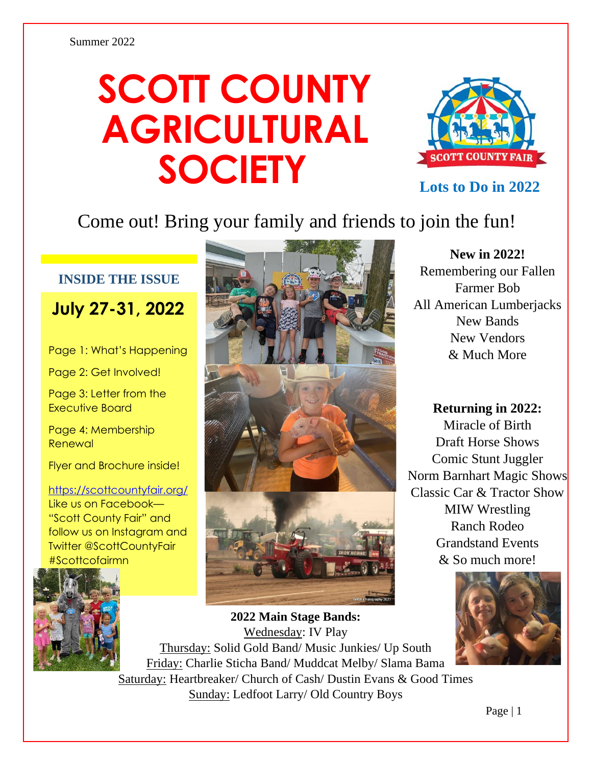# **SCOTT COUNTY AGRICULTURAL SOCIETY**



**Lots to Do in 2022**

### Come out! Bring your family and friends to join the fun!

#### **INSIDE THE ISSUE**

**July 27-31, 2022**

Page 1: What's Happening

Page 2: Get Involved!

Page 3: Letter from the Executive Board

Page 4: Membership Renewal

Flyer and Brochure inside!

#### <https://scottcountyfair.org/>

Like us on Facebook— "Scott County Fair" and follow us on Instagram and Twitter @ScottCountyFair #Scottcofairmn





**New in 2022!**

Remembering our Fallen Farmer Bob All American Lumberjacks New Bands New Vendors & Much More

**Returning in 2022:** Miracle of Birth Draft Horse Shows Comic Stunt Juggler Norm Barnhart Magic Shows Classic Car & Tractor Show MIW Wrestling Ranch Rodeo Grandstand Events & So much more!



**2022 Main Stage Bands:**  Wednesday: IV Play Thursday: Solid Gold Band/ Music Junkies/ Up South Friday: Charlie Sticha Band/ Muddcat Melby/ Slama Bama Saturday: Heartbreaker/ Church of Cash/ Dustin Evans & Good Times

Sunday: Ledfoot Larry/ Old Country Boys

Page | 1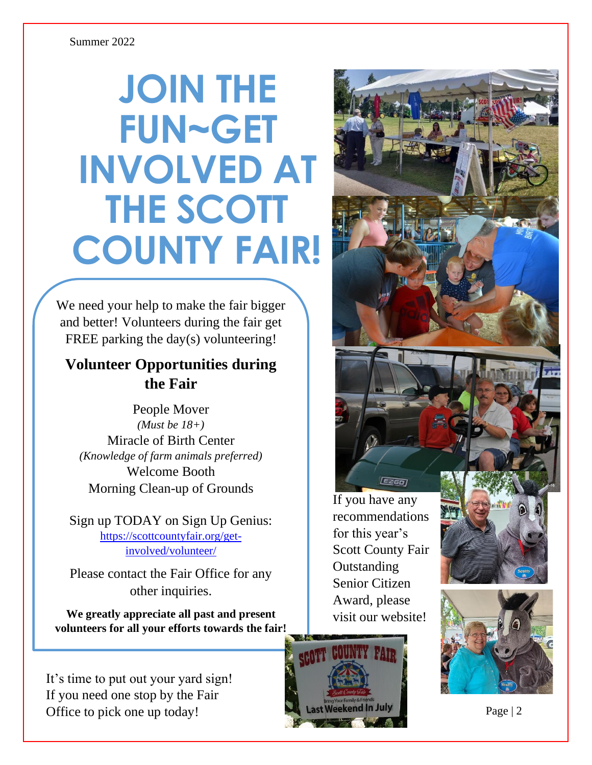#### Summer 2022

# **JOIN THE FUN~GET INVOLVED AT THE SCOTT COUNTY FAIR!**

We need your help to make the fair bigger and better! Volunteers during the fair get FREE parking the day(s) volunteering!

### **Volunteer Opportunities during the Fair**

People Mover *(Must be 18+)* Miracle of Birth Center *(Knowledge of farm animals preferred)* Welcome Booth Morning Clean-up of Grounds

Sign up TODAY on Sign Up Genius: [https://scottcountyfair.org/get](https://scottcountyfair.org/get-involved/volunteer/)[involved/volunteer/](https://scottcountyfair.org/get-involved/volunteer/)

Please contact the Fair Office for any other inquiries.

**We greatly appreciate all past and present volunteers for all your efforts towards the fair!**

It's time to put out your yard sign! If you need one stop by the Fair Office to pick one up today!

If you have any recommendations for this year's Scott County Fair **Outstanding** Senior Citizen Award, please visit our website!

**EZGO** 





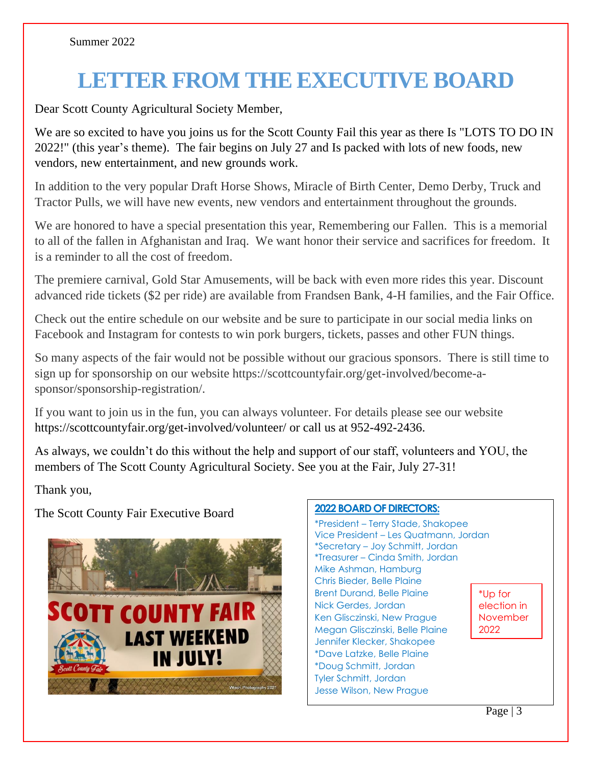## **LETTER FROM THE EXECUTIVE BOARD**

Dear Scott County Agricultural Society Member,

We are so excited to have you joins us for the Scott County Fail this year as there Is "LOTS TO DO IN 2022!" (this year's theme). The fair begins on July 27 and Is packed with lots of new foods, new vendors, new entertainment, and new grounds work.

In addition to the very popular Draft Horse Shows, Miracle of Birth Center, Demo Derby, Truck and Tractor Pulls, we will have new events, new vendors and entertainment throughout the grounds.

We are honored to have a special presentation this year, Remembering our Fallen. This is a memorial to all of the fallen in Afghanistan and Iraq. We want honor their service and sacrifices for freedom. It is a reminder to all the cost of freedom.

The premiere carnival, Gold Star Amusements, will be back with even more rides this year. Discount advanced ride tickets (\$2 per ride) are available from Frandsen Bank, 4-H families, and the Fair Office.

Check out the entire schedule on our website and be sure to participate in our social media links on Facebook and Instagram for contests to win pork burgers, tickets, passes and other FUN things.

So many aspects of the fair would not be possible without our gracious sponsors. There is still time to sign up for sponsorship on our website https://scottcountyfair.org/get-involved/become-asponsor/sponsorship-registration/.

If you want to join us in the fun, you can always volunteer. For details please see our website <https://scottcountyfair.org/get-involved/volunteer/> or call us at 952-492-2436.

As always, we couldn't do this without the help and support of our staff, volunteers and YOU, the members of The Scott County Agricultural Society. See you at the Fair, July 27-31!

Thank you,

The Scott County Fair Executive Board **<sup>2022</sup> BOARD OF DIRECTORS:** 



\*President – Terry Stade, Shakopee Vice President – Les Quatmann, Jordan \*Secretary – Joy Schmitt, Jordan \*Treasurer – Cinda Smith, Jordan Mike Ashman, Hamburg Chris Bieder, Belle Plaine Brent Durand, Belle Plaine Nick Gerdes, Jordan Ken Glisczinski, New Prague Megan Glisczinski, Belle Plaine Jennifer Klecker, Shakopee \*Dave Latzke, Belle Plaine \*Doug Schmitt, Jordan Tyler Schmitt, Jordan Jesse Wilson, New Prague \*Up for election in November 2022